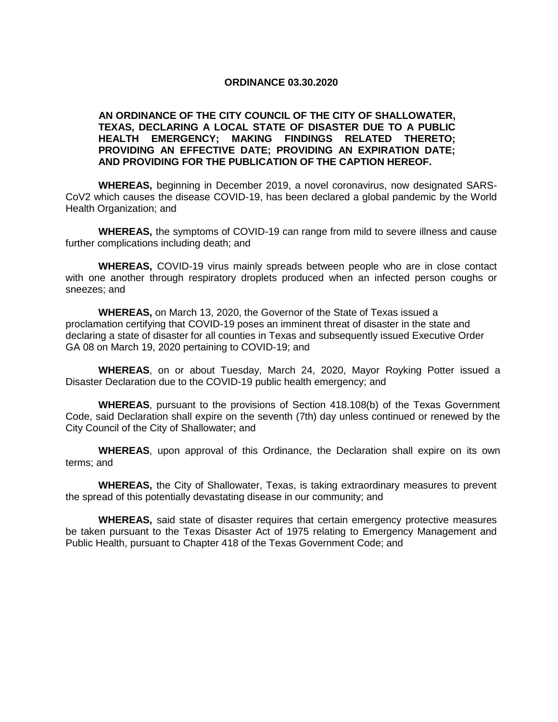## **ORDINANCE 03.30.2020**

## **AN ORDINANCE OF THE CITY COUNCIL OF THE CITY OF SHALLOWATER, TEXAS, DECLARING A LOCAL STATE OF DISASTER DUE TO A PUBLIC HEALTH EMERGENCY; MAKING FINDINGS RELATED THERETO; PROVIDING AN EFFECTIVE DATE; PROVIDING AN EXPIRATION DATE; AND PROVIDING FOR THE PUBLICATION OF THE CAPTION HEREOF.**

**WHEREAS,** beginning in December 2019, a novel coronavirus, now designated SARS-CoV2 which causes the disease COVID-19, has been declared a global pandemic by the World Health Organization; and

**WHEREAS,** the symptoms of COVID-19 can range from mild to severe illness and cause further complications including death; and

**WHEREAS,** COVID-19 virus mainly spreads between people who are in close contact with one another through respiratory droplets produced when an infected person coughs or sneezes; and

**WHEREAS,** on March 13, 2020, the Governor of the State of Texas issued a proclamation certifying that COVID-19 poses an imminent threat of disaster in the state and declaring a state of disaster for all counties in Texas and subsequently issued Executive Order GA 08 on March 19, 2020 pertaining to COVID-19; and

**WHEREAS**, on or about Tuesday, March 24, 2020, Mayor Royking Potter issued a Disaster Declaration due to the COVID-19 public health emergency; and

**WHEREAS**, pursuant to the provisions of Section 418.108(b) of the Texas Government Code, said Declaration shall expire on the seventh (7th) day unless continued or renewed by the City Council of the City of Shallowater; and

**WHEREAS**, upon approval of this Ordinance, the Declaration shall expire on its own terms; and

**WHEREAS,** the City of Shallowater, Texas, is taking extraordinary measures to prevent the spread of this potentially devastating disease in our community; and

**WHEREAS,** said state of disaster requires that certain emergency protective measures be taken pursuant to the Texas Disaster Act of 1975 relating to Emergency Management and Public Health, pursuant to Chapter 418 of the Texas Government Code; and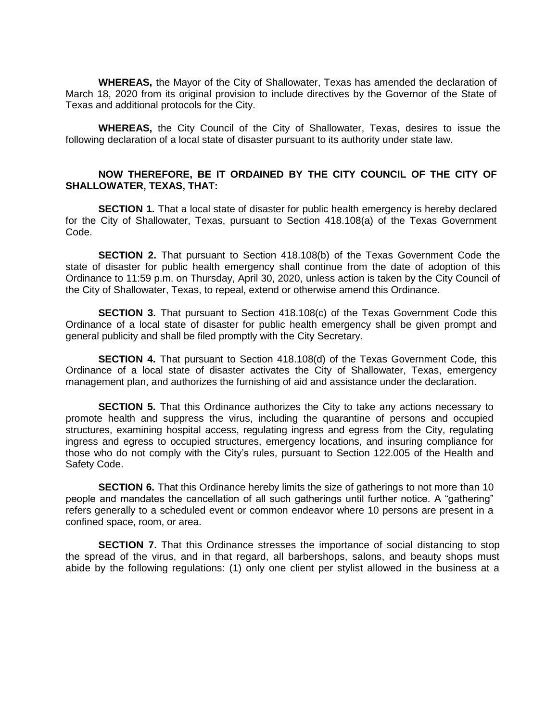**WHEREAS,** the Mayor of the City of Shallowater, Texas has amended the declaration of March 18, 2020 from its original provision to include directives by the Governor of the State of Texas and additional protocols for the City.

**WHEREAS,** the City Council of the City of Shallowater, Texas, desires to issue the following declaration of a local state of disaster pursuant to its authority under state law.

## **NOW THEREFORE, BE IT ORDAINED BY THE CITY COUNCIL OF THE CITY OF SHALLOWATER, TEXAS, THAT:**

**SECTION 1.** That a local state of disaster for public health emergency is hereby declared for the City of Shallowater, Texas, pursuant to Section 418.108(a) of the Texas Government Code.

**SECTION 2.** That pursuant to Section 418.108(b) of the Texas Government Code the state of disaster for public health emergency shall continue from the date of adoption of this Ordinance to 11:59 p.m. on Thursday, April 30, 2020, unless action is taken by the City Council of the City of Shallowater, Texas, to repeal, extend or otherwise amend this Ordinance.

**SECTION 3.** That pursuant to Section 418.108(c) of the Texas Government Code this Ordinance of a local state of disaster for public health emergency shall be given prompt and general publicity and shall be filed promptly with the City Secretary.

**SECTION 4.** That pursuant to Section 418.108(d) of the Texas Government Code, this Ordinance of a local state of disaster activates the City of Shallowater, Texas, emergency management plan, and authorizes the furnishing of aid and assistance under the declaration.

**SECTION 5.** That this Ordinance authorizes the City to take any actions necessary to promote health and suppress the virus, including the quarantine of persons and occupied structures, examining hospital access, regulating ingress and egress from the City, regulating ingress and egress to occupied structures, emergency locations, and insuring compliance for those who do not comply with the City's rules, pursuant to Section 122.005 of the Health and Safety Code.

**SECTION 6.** That this Ordinance hereby limits the size of gatherings to not more than 10 people and mandates the cancellation of all such gatherings until further notice. A "gathering" refers generally to a scheduled event or common endeavor where 10 persons are present in a confined space, room, or area.

**SECTION 7.** That this Ordinance stresses the importance of social distancing to stop the spread of the virus, and in that regard, all barbershops, salons, and beauty shops must abide by the following regulations: (1) only one client per stylist allowed in the business at a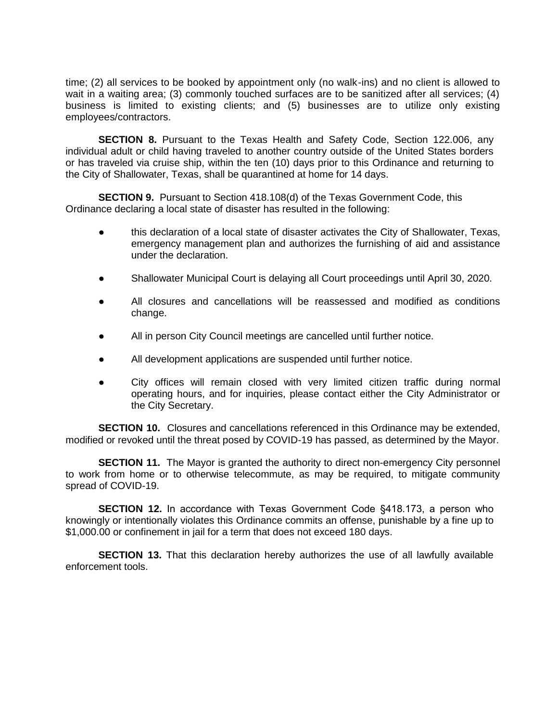time; (2) all services to be booked by appointment only (no walk-ins) and no client is allowed to wait in a waiting area; (3) commonly touched surfaces are to be sanitized after all services; (4) business is limited to existing clients; and (5) businesses are to utilize only existing employees/contractors.

**SECTION 8.** Pursuant to the Texas Health and Safety Code, Section 122.006, any individual adult or child having traveled to another country outside of the United States borders or has traveled via cruise ship, within the ten (10) days prior to this Ordinance and returning to the City of Shallowater, Texas, shall be quarantined at home for 14 days.

**SECTION 9.** Pursuant to Section 418.108(d) of the Texas Government Code, this Ordinance declaring a local state of disaster has resulted in the following:

- this declaration of a local state of disaster activates the City of Shallowater, Texas, emergency management plan and authorizes the furnishing of aid and assistance under the declaration.
- Shallowater Municipal Court is delaying all Court proceedings until April 30, 2020.
- All closures and cancellations will be reassessed and modified as conditions change.
- All in person City Council meetings are cancelled until further notice.
- All development applications are suspended until further notice.
- City offices will remain closed with very limited citizen traffic during normal operating hours, and for inquiries, please contact either the City Administrator or the City Secretary.

**SECTION 10.** Closures and cancellations referenced in this Ordinance may be extended. modified or revoked until the threat posed by COVID-19 has passed, as determined by the Mayor.

**SECTION 11.** The Mayor is granted the authority to direct non-emergency City personnel to work from home or to otherwise telecommute, as may be required, to mitigate community spread of COVID-19.

**SECTION 12.** In accordance with Texas Government Code §418.173, a person who knowingly or intentionally violates this Ordinance commits an offense, punishable by a fine up to \$1,000.00 or confinement in jail for a term that does not exceed 180 days.

**SECTION 13.** That this declaration hereby authorizes the use of all lawfully available enforcement tools.